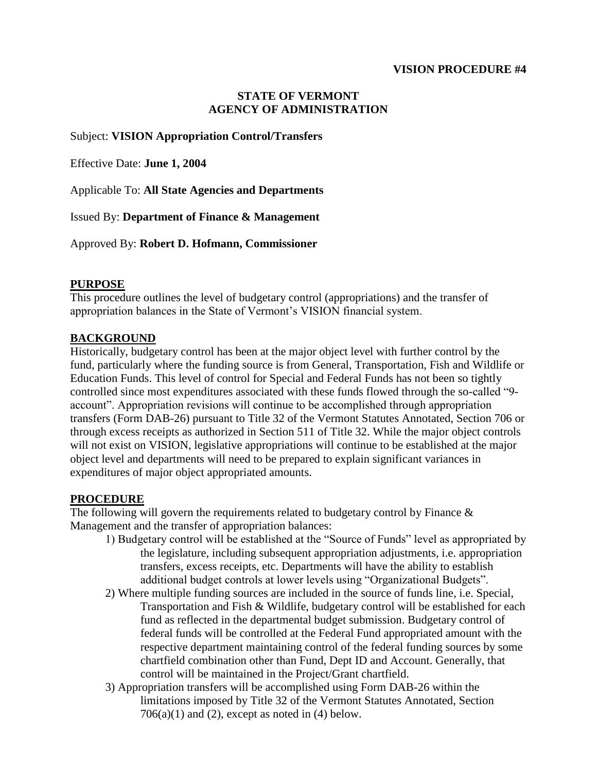### **VISION PROCEDURE #4**

# **STATE OF VERMONT AGENCY OF ADMINISTRATION**

## Subject: **VISION Appropriation Control/Transfers**

Effective Date: **June 1, 2004** 

Applicable To: **All State Agencies and Departments** 

Issued By: **Department of Finance & Management** 

Approved By: **Robert D. Hofmann, Commissioner** 

### **PURPOSE**

This procedure outlines the level of budgetary control (appropriations) and the transfer of appropriation balances in the State of Vermont's VISION financial system.

## **BACKGROUND**

Historically, budgetary control has been at the major object level with further control by the fund, particularly where the funding source is from General, Transportation, Fish and Wildlife or Education Funds. This level of control for Special and Federal Funds has not been so tightly controlled since most expenditures associated with these funds flowed through the so-called "9 account". Appropriation revisions will continue to be accomplished through appropriation transfers (Form DAB-26) pursuant to Title 32 of the Vermont Statutes Annotated, Section 706 or through excess receipts as authorized in Section 511 of Title 32. While the major object controls will not exist on VISION, legislative appropriations will continue to be established at the major object level and departments will need to be prepared to explain significant variances in expenditures of major object appropriated amounts.

## **PROCEDURE**

The following will govern the requirements related to budgetary control by Finance  $\&$ Management and the transfer of appropriation balances:

- 1) Budgetary control will be established at the "Source of Funds" level as appropriated by the legislature, including subsequent appropriation adjustments, i.e. appropriation transfers, excess receipts, etc. Departments will have the ability to establish additional budget controls at lower levels using "Organizational Budgets".
- 2) Where multiple funding sources are included in the source of funds line, i.e. Special, Transportation and Fish & Wildlife, budgetary control will be established for each fund as reflected in the departmental budget submission. Budgetary control of federal funds will be controlled at the Federal Fund appropriated amount with the respective department maintaining control of the federal funding sources by some chartfield combination other than Fund, Dept ID and Account. Generally, that control will be maintained in the Project/Grant chartfield.
- 3) Appropriation transfers will be accomplished using Form DAB-26 within the limitations imposed by Title 32 of the Vermont Statutes Annotated, Section  $706(a)(1)$  and (2), except as noted in (4) below.